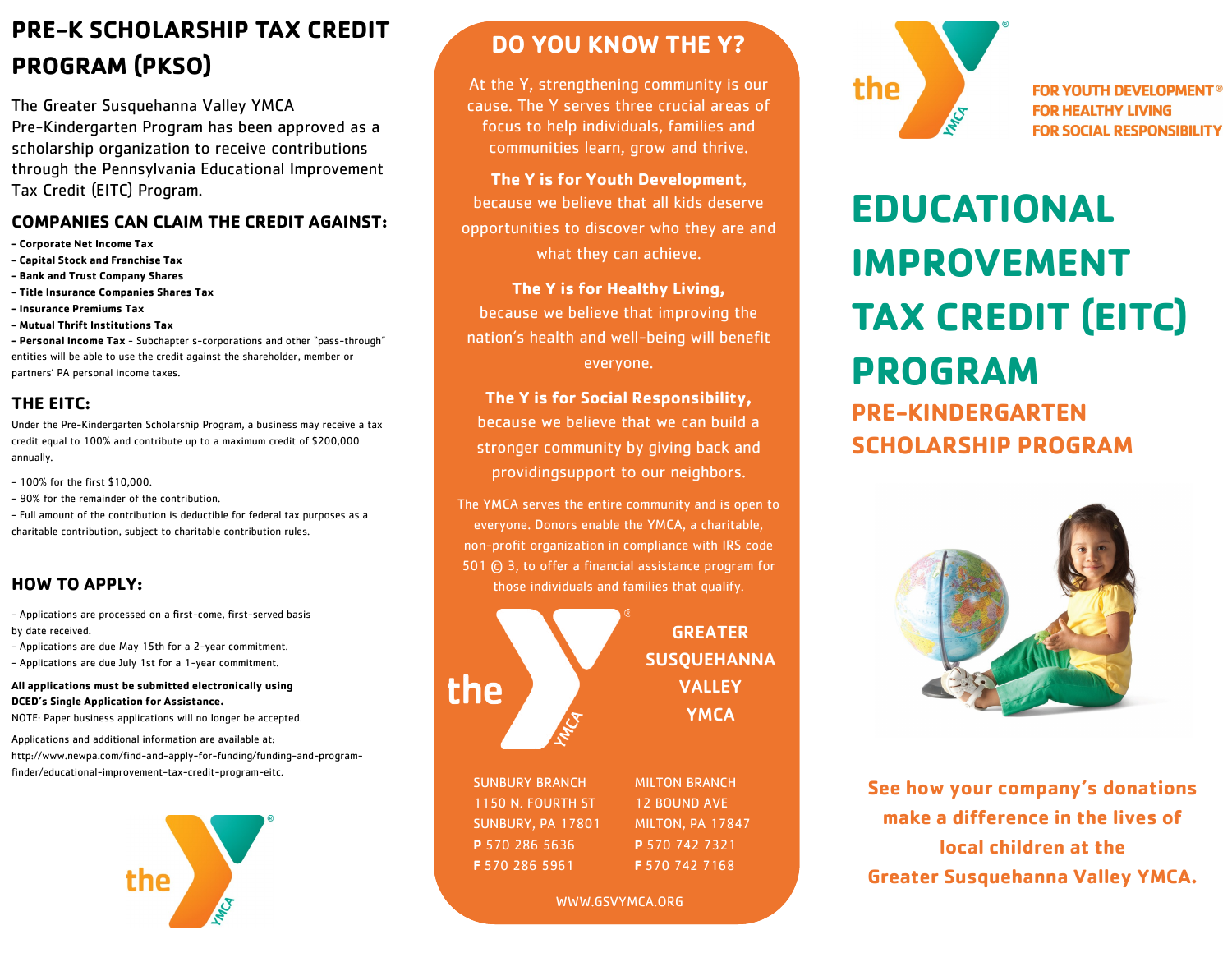## **PRE-K SCHOLARSHIP TAX CREDIT PROGRAM (PKSO)**

The Greater Susquehanna Valley YMCA Pre-Kindergarten Program has been approved as a scholarship organization to receive contributions through the Pennsylvania Educational Improvement Tax Credit (EITC) Program.

#### **COMPANIES CAN CLAIM THE CREDIT AGAINST:**

- **- Corporate Net Income Tax**
- **- Capital Stock and Franchise Tax**
- **- Bank and Trust Company Shares**
- **- Title Insurance Companies Shares Tax**
- **- Insurance Premiums Tax**
- **- Mutual Thrift Institutions Tax**

**- Personal Income Tax** - Subchapter s-corporations and other "pass-through" entities will be able to use the credit against the shareholder, member or partners' PA personal income taxes.

### **THE EITC:**

Under the Pre-Kindergarten Scholarship Program, a business may receive a tax credit equal to 100% and contribute up to a maximum credit of \$200,000 annually.

- 100% for the first \$10,000.
- 90% for the remainder of the contribution.

- Full amount of the contribution is deductible for federal tax purposes as a charitable contribution, subject to charitable contribution rules.

## **HOW TO APPLY:**

- Applications are processed on a first-come, first-served basis by date received.

- Applications are due May 15th for a 2-year commitment.
- Applications are due July 1st for a 1-year commitment.

#### **All applications must be submitted electronically using DCED's Single Application for Assistance.**

NOTE: Paper business applications will no longer be accepted.

Applications and additional information are available at: http://www.newpa.com/find-and-apply-for-funding/funding-and-programfinder/educational-improvement-tax-credit-program-eitc.



## **DO YOU KNOW THE Y?**

At the Y, strengthening community is our cause. The Y serves three crucial areas of focus to help individuals, families and communities learn, grow and thrive.

**The Y is for Youth Development**, because we believe that all kids deserve opportunities to discover who they are and what they can achieve.

**The Y is for Healthy Living,**  because we believe that improving the nation's health and well-being will benefit everyone.

**The Y is for Social Responsibility,**  because we believe that we can build a stronger community by giving back and providingsupport to our neighbors.

The YMCA serves the entire community and is open to everyone. Donors enable the YMCA, a charitable, non-profit organization in compliance with IRS code 501 © 3, to offer a financial assistance program for those individuals and families that qualify.



GREATER SUSQUEHANNA **VALLEY YMCA** 

SUNBURY BRANCH 1150 N. FOURTH ST SUNBURY, PA 17801 **P** 570 286 5636 **F** 570 286 5961

MILTON BRANCH 12 BOUND AVE MILTON, PA 17847 **P** 570 742 7321 **F** 570 742 7168

WWW.GSVYMCA.ORG



**FOR YOUTH DEVELOPMENT® FOR HEALTHY LIVING FOR SOCIAL RESPONSIBILITY** 

# **EDUCATIONAL IMPROVEMENT TAX CREDIT (EITC) PROGRAM PRE-KINDERGARTEN SCHOLARSHIP PROGRAM**



**See how your company's donations make a difference in the lives of local children at the Greater Susquehanna Valley YMCA.**